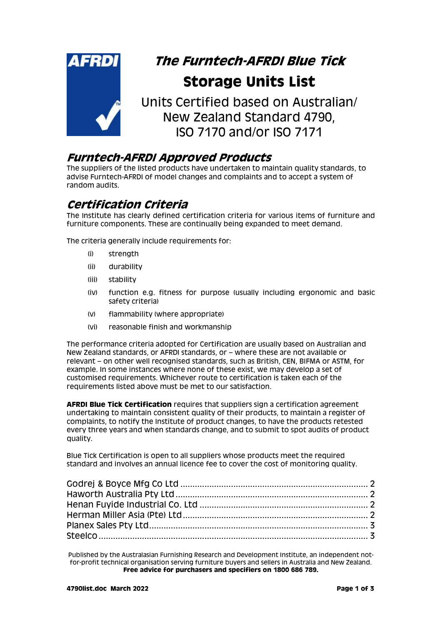

# **The Furntech-AFRDI Blue Tick Storage Units List**

Units Certified based on Australian/ New Zealand Standard 4790, ISO 7170 and/or ISO 7171

### **Furntech-AFRDI Approved Products**

The suppliers of the listed products have undertaken to maintain quality standards, to advise Furntech-AFRDI of model changes and complaints and to accept a system of random audits.

## **Certification Criteria**

The Institute has clearly defined certification criteria for various items of furniture and furniture components. These are continually being expanded to meet demand.

The criteria generally include requirements for:

- (i) strength
- (ii) durability
- (iii) stability
- (iv) function e.g. fitness for purpose (usually including ergonomic and basic safety criteria)
- (v) flammability (where appropriate)
- (vi) reasonable finish and workmanship

The performance criteria adopted for Certification are usually based on Australian and New Zealand standards, or AFRDI standards, or – where these are not available or relevant – on other well recognised standards, such as British, CEN, BIFMA or ASTM, for example. In some instances where none of these exist, we may develop a set of customised requirements. Whichever route to certification is taken each of the requirements listed above must be met to our satisfaction.

**AFRDI Blue Tick Certification** requires that suppliers sign a certification agreement undertaking to maintain consistent quality of their products, to maintain a register of complaints, to notify the Institute of product changes, to have the products retested every three years and when standards change, and to submit to spot audits of product quality.

Blue Tick Certification is open to all suppliers whose products meet the required standard and involves an annual licence fee to cover the cost of monitoring quality.

Published by the Australasian Furnishing Research and Development Institute, an independent notfor-profit technical organisation serving furniture buyers and sellers in Australia and New Zealand. **Free advice for purchasers and specifiers on 1800 686 789.**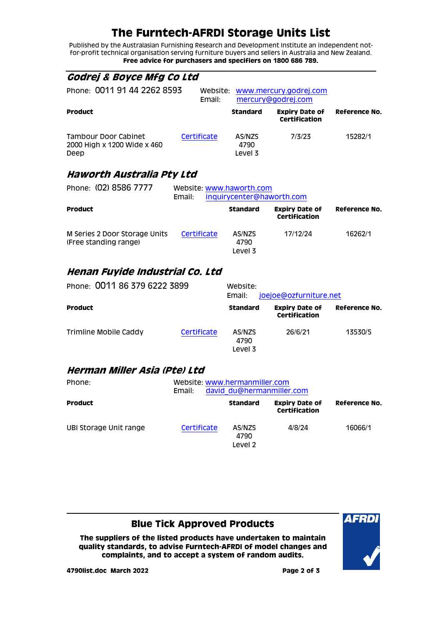## **The Furntech-AFRDI Storage Units List**

Published by the Australasian Furnishing Research and Development Institute an independent notfor-profit technical organisation serving furniture buyers and sellers in Australia and New Zealand. **Free advice for purchasers and specifiers on 1800 686 789.**

<span id="page-1-0"></span>

| <i>Godrej &amp; Boyce Mfg Co Ltd</i>                        |                                    |                                              |                                               |               |
|-------------------------------------------------------------|------------------------------------|----------------------------------------------|-----------------------------------------------|---------------|
| Phone: 0011 91 44 2262 8593<br>Website:<br>Email:           |                                    | www.mercury.godrej.com<br>mercury@godrej.com |                                               |               |
| <b>Product</b>                                              |                                    | <b>Standard</b>                              | <b>Expiry Date of</b><br>Certification        | Reference No. |
| Tambour Door Cabinet<br>2000 High x 1200 Wide x 460<br>Deep | Certificate                        | AS/NZS<br>4790<br>Level 3                    | 7/3/23                                        | 15282/1       |
| Haworth Australia Pty Ltd                                   |                                    |                                              |                                               |               |
| Phone: (02) 8586 7777                                       | Website: www.haworth.com<br>Email: |                                              | inquirycenter@haworth.com                     |               |
| <b>Product</b>                                              |                                    | <b>Standard</b>                              | <b>Expiry Date of</b><br><b>Certification</b> | Reference No. |
| M Series 2 Door Storage Units<br>(Free standing range)      | Certificate                        | AS/NZS<br>4790                               | 17/12/24                                      | 16262/1       |

#### <span id="page-1-2"></span>**Henan Fuyide Industrial Co. Ltd**

<span id="page-1-1"></span>(Free standing range)

| Phone: 0011 86 379 6222 3899 |             | Website:<br>joejoe@ozfurniture.net<br>Email: |                                        |               |  |
|------------------------------|-------------|----------------------------------------------|----------------------------------------|---------------|--|
| <b>Product</b>               |             | <b>Standard</b>                              | <b>Expiry Date of</b><br>Certification | Reference No. |  |
| Trimline Mobile Caddy        | Certificate | AS/NZS<br>4790<br>Level 3                    | 26/6/21                                | 13530/5       |  |

Level 3

#### <span id="page-1-3"></span>**Herman Miller Asia (Pte) Ltd**

| Phone:                 | Email:      |                           | Website: www.hermanmiller.com<br>david du@hermanmiller.com |               |  |
|------------------------|-------------|---------------------------|------------------------------------------------------------|---------------|--|
| <b>Product</b>         |             | <b>Standard</b>           | <b>Expiry Date of</b><br>Certification                     | Reference No. |  |
| UBI Storage Unit range | Certificate | AS/NZS<br>4790<br>Level 2 | 4/8/24                                                     | 16066/1       |  |

#### **Blue Tick Approved Products**

**The suppliers of the listed products have undertaken to maintain quality standards, to advise Furntech-AFRDI of model changes and complaints, and to accept a system of random audits.**